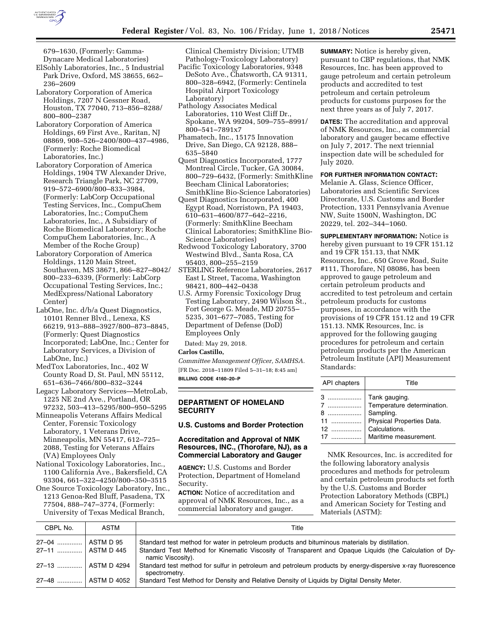

679–1630, (Formerly: Gamma-Dynacare Medical Laboratories)

- ElSohly Laboratories, Inc., 5 Industrial Park Drive, Oxford, MS 38655, 662– 236–2609
- Laboratory Corporation of America Holdings, 7207 N Gessner Road, Houston, TX 77040, 713–856–8288/ 800–800–2387
- Laboratory Corporation of America Holdings, 69 First Ave., Raritan, NJ 08869, 908–526–2400/800–437–4986, (Formerly: Roche Biomedical Laboratories, Inc.)
- Laboratory Corporation of America Holdings, 1904 TW Alexander Drive, Research Triangle Park, NC 27709, 919–572–6900/800–833–3984, (Formerly: LabCorp Occupational Testing Services, Inc., CompuChem Laboratories, Inc.; CompuChem Laboratories, Inc., A Subsidiary of Roche Biomedical Laboratory; Roche CompuChem Laboratories, Inc., A Member of the Roche Group)
- Laboratory Corporation of America Holdings, 1120 Main Street, Southaven, MS 38671, 866–827–8042/ 800–233–6339, (Formerly: LabCorp Occupational Testing Services, Inc.; MedExpress/National Laboratory Center)
- LabOne, Inc. d/b/a Quest Diagnostics, 10101 Renner Blvd., Lenexa, KS 66219, 913–888–3927/800–873–8845, (Formerly: Quest Diagnostics Incorporated; LabOne, Inc.; Center for Laboratory Services, a Division of LabOne, Inc.)
- MedTox Laboratories, Inc., 402 W County Road D, St. Paul, MN 55112, 651–636–7466/800–832–3244
- Legacy Laboratory Services—MetroLab, 1225 NE 2nd Ave., Portland, OR 97232, 503–413–5295/800–950–5295
- Minneapolis Veterans Affairs Medical Center, Forensic Toxicology Laboratory, 1 Veterans Drive, Minneapolis, MN 55417, 612–725– 2088, Testing for Veterans Affairs (VA) Employees Only
- National Toxicology Laboratories, Inc., 1100 California Ave., Bakersfield, CA 93304, 661–322–4250/800–350–3515
- One Source Toxicology Laboratory, Inc., 1213 Genoa-Red Bluff, Pasadena, TX 77504, 888–747–3774, (Formerly: University of Texas Medical Branch,

Clinical Chemistry Division; UTMB Pathology-Toxicology Laboratory)

- Pacific Toxicology Laboratories, 9348 DeSoto Ave., Chatsworth, CA 91311, 800–328–6942, (Formerly: Centinela Hospital Airport Toxicology Laboratory)
- Pathology Associates Medical Laboratories, 110 West Cliff Dr., Spokane, WA 99204, 509–755–8991/ 800–541–7891x7
- Phamatech, Inc., 15175 Innovation Drive, San Diego, CA 92128, 888– 635–5840
- Quest Diagnostics Incorporated, 1777 Montreal Circle, Tucker, GA 30084, 800–729–6432, (Formerly: SmithKline Beecham Clinical Laboratories; SmithKline Bio-Science Laboratories)
- Quest Diagnostics Incorporated, 400 Egypt Road, Norristown, PA 19403, 610–631–4600/877–642–2216, (Formerly: SmithKline Beecham Clinical Laboratories; SmithKline Bio-Science Laboratories)
- Redwood Toxicology Laboratory, 3700 Westwind Blvd., Santa Rosa, CA 95403, 800–255–2159
- STERLING Reference Laboratories, 2617 East L Street, Tacoma, Washington 98421, 800–442–0438
- U.S. Army Forensic Toxicology Drug Testing Laboratory, 2490 Wilson St., Fort George G. Meade, MD 20755– 5235, 301–677–7085, Testing for Department of Defense (DoD) Employees Only

# Dated: May 29, 2018.

## **Carlos Castillo,**

*Committee Management Officer, SAMHSA.*  [FR Doc. 2018–11809 Filed 5–31–18; 8:45 am] **BILLING CODE 4160–20–P** 

**DEPARTMENT OF HOMELAND SECURITY** 

## **U.S. Customs and Border Protection**

# **Accreditation and Approval of NMK Resources, INC., (Thorofare, NJ), as a Commercial Laboratory and Gauger**

**AGENCY:** U.S. Customs and Border Protection, Department of Homeland Security.

**ACTION:** Notice of accreditation and approval of NMK Resources, Inc., as a commercial laboratory and gauger.

**SUMMARY:** Notice is hereby given, pursuant to CBP regulations, that NMK Resources, Inc. has been approved to gauge petroleum and certain petroleum products and accredited to test petroleum and certain petroleum products for customs purposes for the next three years as of July 7, 2017.

**DATES:** The accreditation and approval of NMK Resources, Inc., as commercial laboratory and gauger became effective on July 7, 2017. The next triennial inspection date will be scheduled for July 2020.

# **FOR FURTHER INFORMATION CONTACT:**

Melanie A. Glass, Science Officer, Laboratories and Scientific Services Directorate, U.S. Customs and Border Protection, 1331 Pennsylvania Avenue NW, Suite 1500N, Washington, DC 20229, tel. 202–344–1060.

**SUPPLEMENTARY INFORMATION:** Notice is hereby given pursuant to 19 CFR 151.12 and 19 CFR 151.13, that NMK Resources, Inc., 650 Grove Road, Suite #111, Thorofare, NJ 08086, has been approved to gauge petroleum and certain petroleum products and accredited to test petroleum and certain petroleum products for customs purposes, in accordance with the provisions of 19 CFR 151.12 and 19 CFR 151.13. NMK Resources, Inc. is approved for the following gauging procedures for petroleum and certain petroleum products per the American Petroleum Institute (API) Measurement Standards:

| API chapters | Title                      |
|--------------|----------------------------|
|              | Tank gauging.              |
|              | Temperature determination. |
| 8            | Sampling.                  |
|              | Physical Properties Data.  |
|              | Calculations.              |
| 17           | Maritime measurement.      |

NMK Resources, Inc. is accredited for the following laboratory analysis procedures and methods for petroleum and certain petroleum products set forth by the U.S. Customs and Border Protection Laboratory Methods (CBPL) and American Society for Testing and Materials (ASTM):

| CBPL No.             | ASTM        | Title                                                                                                                        |
|----------------------|-------------|------------------------------------------------------------------------------------------------------------------------------|
| 27–04                | ASTM D 95   | Standard test method for water in petroleum products and bituminous materials by distillation.                               |
| 27–11    ASTM D 445  |             | Standard Test Method for Kinematic Viscosity of Transparent and Opaque Liquids (the Calculation of Dy-<br>namic Viscosity).  |
| 27–13    ASTM D 4294 |             | Standard test method for sulfur in petroleum and petroleum products by energy-dispersive x-ray fluorescence<br>spectrometry. |
| $27 - 48$            | ASTM D 4052 | Standard Test Method for Density and Relative Density of Liquids by Digital Density Meter.                                   |